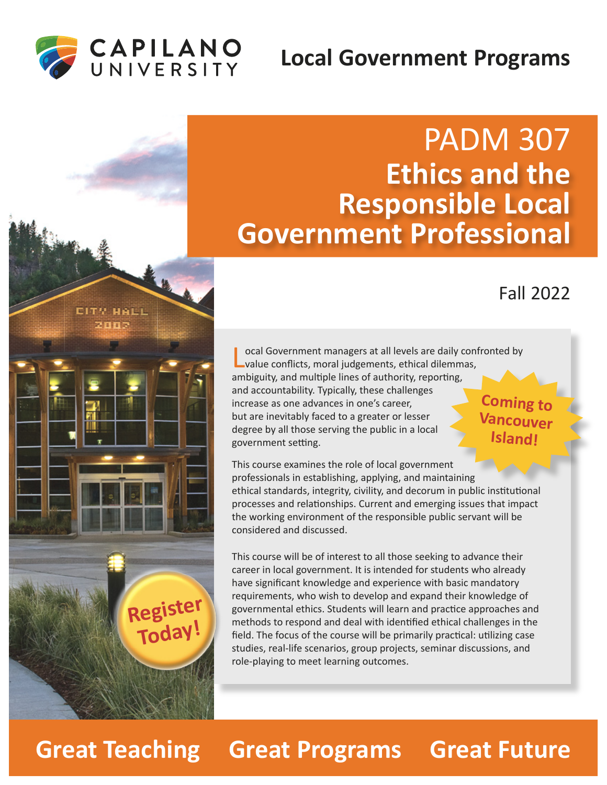## **Local Government Programs**



EITY HALL zunk

**Register**

**Today!**



### Fall 2022

ocal Government managers at all levels are daily confronted by value conflicts, moral judgements, ethical dilemmas, ambiguity, and multiple lines of authority, reporting, and accountability. Typically, these challenges increase as one advances in one's career, but are inevitably faced to a greater or lesser degree by all those serving the public in a local government setting. **Coming to Vancouver Island!**

This course examines the role of local government professionals in establishing, applying, and maintaining ethical standards, integrity, civility, and decorum in public institutional processes and relationships. Current and emerging issues that impact the working environment of the responsible public servant will be considered and discussed.

This course will be of interest to all those seeking to advance their career in local government. It is intended for students who already have significant knowledge and experience with basic mandatory requirements, who wish to develop and expand their knowledge of governmental ethics. Students will learn and prac�ce approaches and methods to respond and deal with iden�fied ethical challenges in the field. The focus of the course will be primarily practical: utilizing case studies, real-life scenarios, group projects, seminar discussions, and role-playing to meet learning outcomes.

# **Great Teaching Great Programs Great Future**